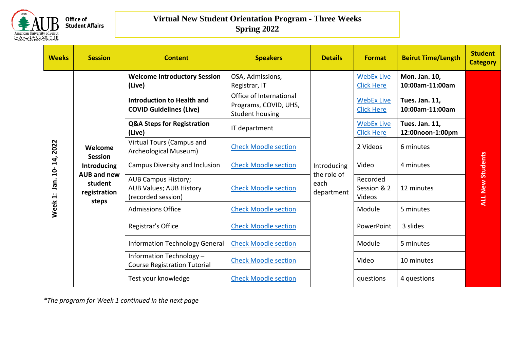

| <b>Weeks</b>                                        | <b>Session</b>                    | <b>Content</b>                                                                     | <b>Speakers</b>                                                     | <b>Details</b>                    | <b>Format</b>                          | <b>Beirut Time/Length</b>                                    | <b>Student</b><br><b>Category</b> |  |
|-----------------------------------------------------|-----------------------------------|------------------------------------------------------------------------------------|---------------------------------------------------------------------|-----------------------------------|----------------------------------------|--------------------------------------------------------------|-----------------------------------|--|
|                                                     |                                   | <b>Welcome Introductory Session</b><br>(Live)                                      | OSA, Admissions,<br>Registrar, IT                                   |                                   | <b>WebEx Live</b><br><b>Click Here</b> | Mon. Jan. 10,<br>10:00am-11:00am                             |                                   |  |
|                                                     |                                   | <b>Introduction to Health and</b><br><b>COVID Guidelines (Live)</b>                | Office of International<br>Programs, COVID, UHS,<br>Student housing |                                   | <b>WebEx Live</b><br><b>Click Here</b> | Tues. Jan. 11,<br>10:00am-11:00am                            |                                   |  |
|                                                     |                                   | <b>Q&amp;A Steps for Registration</b><br>(Live)                                    | IT department                                                       |                                   | <b>WebEx Live</b><br><b>Click Here</b> | Tues. Jan. 11,<br>12:00noon-1:00pm<br>6 minutes<br>4 minutes |                                   |  |
| 2022<br>14,<br>$\overline{a}$<br>nan.<br>$\ddot{ }$ | Welcome<br><b>Session</b>         | Virtual Tours (Campus and<br>Archeological Museum)                                 | <b>Check Moodle section</b>                                         |                                   | 2 Videos                               |                                                              |                                   |  |
|                                                     | Introducing<br><b>AUB and new</b> | Campus Diversity and Inclusion                                                     | <b>Check Moodle section</b>                                         | Introducing                       | Video                                  |                                                              | <b>ALL New Students</b>           |  |
|                                                     | student<br>registration<br>steps  | <b>AUB Campus History;</b><br><b>AUB Values; AUB History</b><br>(recorded session) | <b>Check Moodle section</b>                                         | the role of<br>each<br>department | Recorded<br>Session & 2<br>Videos      | 12 minutes                                                   |                                   |  |
| Week                                                |                                   | <b>Admissions Office</b>                                                           | <b>Check Moodle section</b>                                         |                                   |                                        | Module                                                       | 5 minutes                         |  |
|                                                     |                                   | Registrar's Office                                                                 | <b>Check Moodle section</b>                                         |                                   |                                        | PowerPoint                                                   | 3 slides                          |  |
|                                                     |                                   | Information Technology General                                                     | <b>Check Moodle section</b>                                         |                                   | Module                                 | 5 minutes                                                    |                                   |  |
|                                                     |                                   | Information Technology -<br><b>Course Registration Tutorial</b>                    | <b>Check Moodle section</b>                                         |                                   | Video                                  | 10 minutes                                                   |                                   |  |
|                                                     |                                   | Test your knowledge                                                                | <b>Check Moodle section</b>                                         |                                   | questions                              | 4 questions                                                  |                                   |  |

*\*The program for Week 1 continued in the next page*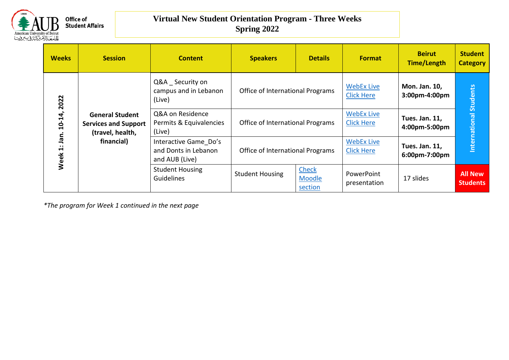

| <b>Weeks</b>                                     | <b>Session</b>                                                                          | <b>Content</b>                                                  | <b>Speakers</b>                  | <b>Details</b>                    | <b>Format</b>                          | <b>Beirut</b><br><b>Time/Length</b> | <b>Student</b><br><b>Category</b> |
|--------------------------------------------------|-----------------------------------------------------------------------------------------|-----------------------------------------------------------------|----------------------------------|-----------------------------------|----------------------------------------|-------------------------------------|-----------------------------------|
| 2022<br>$10 - 14,$<br>jan.<br>$\ddot{ }$<br>Week |                                                                                         | Q&A Security on<br>campus and in Lebanon<br>(Live)              | Office of International Programs |                                   | <b>WebEx Live</b><br><b>Click Here</b> | Mon. Jan. 10,<br>3:00pm-4:00pm      | <b>Students</b>                   |
|                                                  | <b>General Student</b><br><b>Services and Support</b><br>(travel, health,<br>financial) | Q&A on Residence<br>Permits & Equivalencies<br>(Live)           | Office of International Programs |                                   | <b>WebEx Live</b><br><b>Click Here</b> | Tues. Jan. 11,<br>4:00pm-5:00pm     | International                     |
|                                                  |                                                                                         | Interactive Game Do's<br>and Donts in Lebanon<br>and AUB (Live) | Office of International Programs |                                   | <b>WebEx Live</b><br><b>Click Here</b> | Tues. Jan. 11,<br>6:00pm-7:00pm     |                                   |
|                                                  |                                                                                         | <b>Student Housing</b><br><b>Guidelines</b>                     | <b>Student Housing</b>           | <b>Check</b><br>Moodle<br>section | PowerPoint<br>presentation             | 17 slides                           | <b>All New</b><br><b>Students</b> |

*\*The program for Week 1 continued in the next page*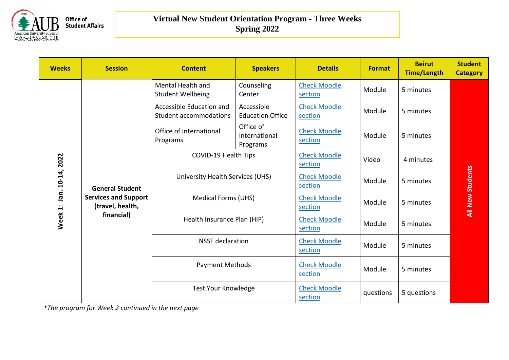

| <b>Weeks</b>                | <b>Session</b>                                                                          | <b>Content</b>                                            | <b>Speakers</b>                        | <b>Details</b>                 | <b>Format</b> | <b>Beirut</b><br><b>Time/Length</b> | <b>Student</b><br><b>Category</b> |
|-----------------------------|-----------------------------------------------------------------------------------------|-----------------------------------------------------------|----------------------------------------|--------------------------------|---------------|-------------------------------------|-----------------------------------|
|                             |                                                                                         | Mental Health and<br><b>Student Wellbeing</b>             | Counseling<br>Center                   | <b>Check Moodle</b><br>section | Module        | 5 minutes                           |                                   |
|                             |                                                                                         | Accessible Education and<br><b>Student accommodations</b> | Accessible<br><b>Education Office</b>  | <b>Check Moodle</b><br>section | Module        | 5 minutes                           |                                   |
|                             |                                                                                         | Office of International<br>Programs                       | Office of<br>International<br>Programs | <b>Check Moodle</b><br>section | Module        | 5 minutes                           |                                   |
|                             |                                                                                         | COVID-19 Health Tips                                      |                                        | <b>Check Moodle</b><br>section | Video         | 4 minutes                           |                                   |
| Jan. 10-14, 2022<br>Week 1: | <b>General Student</b><br><b>Services and Support</b><br>(travel, health,<br>financial) | University Health Services (UHS)                          |                                        | <b>Check Moodle</b><br>section | Module        | 5 minutes                           | <b>All New Students</b>           |
|                             |                                                                                         | <b>Medical Forms (UHS)</b>                                |                                        | <b>Check Moodle</b><br>section | Module        | 5 minutes                           |                                   |
|                             |                                                                                         | Health Insurance Plan (HIP)                               |                                        | <b>Check Moodle</b><br>section | Module        | 5 minutes                           |                                   |
|                             |                                                                                         | <b>NSSF</b> declaration                                   |                                        | <b>Check Moodle</b><br>section | Module        | 5 minutes                           |                                   |
|                             |                                                                                         | <b>Payment Methods</b>                                    |                                        | <b>Check Moodle</b><br>section | Module        | 5 minutes                           |                                   |
|                             |                                                                                         | <b>Test Your Knowledge</b>                                |                                        | <b>Check Moodle</b><br>section | questions     | 5 questions                         |                                   |

*\*The program for Week 2 continued in the next page*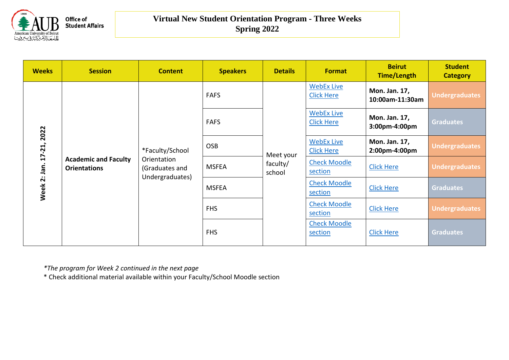

| <b>Weeks</b>                       | <b>Session</b>                                     | <b>Content</b>                                   | <b>Speakers</b> | <b>Details</b>     | <b>Format</b>                          | <b>Beirut</b><br><b>Time/Length</b> | <b>Student</b><br><b>Category</b> |                   |                                                               |
|------------------------------------|----------------------------------------------------|--------------------------------------------------|-----------------|--------------------|----------------------------------------|-------------------------------------|-----------------------------------|-------------------|---------------------------------------------------------------|
| 2022<br>$17 - 21$ ,<br>Week 2: Jan |                                                    |                                                  | <b>FAFS</b>     |                    | <b>WebEx Live</b><br><b>Click Here</b> | Mon. Jan. 17,<br>10:00am-11:30am    | <b>Undergraduates</b>             |                   |                                                               |
|                                    |                                                    |                                                  | <b>FAFS</b>     |                    | <b>WebEx Live</b><br><b>Click Here</b> | Mon. Jan. 17,<br>3:00pm-4:00pm      | <b>Graduates</b>                  |                   |                                                               |
|                                    |                                                    | *Faculty/School                                  | <b>OSB</b>      | Meet your          | <b>WebEx Live</b><br><b>Click Here</b> | Mon. Jan. 17,<br>2:00pm-4:00pm      | <b>Undergraduates</b>             |                   |                                                               |
|                                    | <b>Academic and Faculty</b><br><b>Orientations</b> | Orientation<br>(Graduates and<br>Undergraduates) | <b>MSFEA</b>    | faculty/<br>school |                                        |                                     | <b>Check Moodle</b><br>section    | <b>Click Here</b> | <b>Undergraduates</b><br><b>Graduates</b><br><b>Graduates</b> |
|                                    |                                                    |                                                  | <b>MSFEA</b>    |                    |                                        |                                     | <b>Check Moodle</b><br>section    | <b>Click Here</b> |                                                               |
|                                    |                                                    |                                                  | <b>FHS</b>      |                    | <b>Check Moodle</b><br>section         | <b>Click Here</b>                   | <b>Undergraduates</b>             |                   |                                                               |
|                                    |                                                    |                                                  | <b>FHS</b>      |                    | <b>Check Moodle</b><br>section         | <b>Click Here</b>                   |                                   |                   |                                                               |

*\*The program for Week 2 continued in the next page*

\* Check additional material available within your Faculty/School Moodle section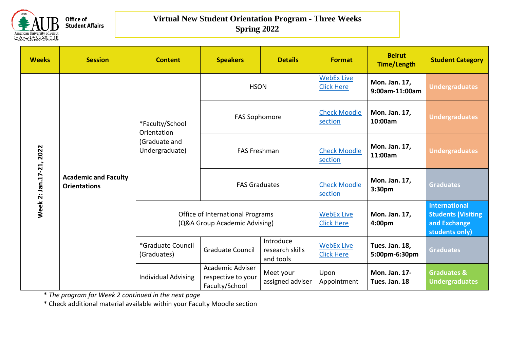

| <b>Weeks</b>               | <b>Session</b>                                     | <b>Content</b>                                                                         | <b>Speakers</b>                                                   | <b>Details</b>                         | <b>Format</b>                          | <b>Beirut</b><br><b>Time/Length</b> | <b>Student Category</b>                                                             |
|----------------------------|----------------------------------------------------|----------------------------------------------------------------------------------------|-------------------------------------------------------------------|----------------------------------------|----------------------------------------|-------------------------------------|-------------------------------------------------------------------------------------|
| 2022<br>Week 2: Jan.17-21, |                                                    |                                                                                        | <b>HSON</b>                                                       |                                        | <b>WebEx Live</b><br><b>Click Here</b> | Mon. Jan. 17,<br>9:00am-11:00am     | <b>Undergraduates</b>                                                               |
|                            |                                                    | *Faculty/School<br>Orientation                                                         | <b>FAS Sophomore</b>                                              |                                        | <b>Check Moodle</b><br>section         | Mon. Jan. 17,<br>10:00am            | <b>Undergraduates</b>                                                               |
|                            | (Graduate and<br>Undergraduate)                    |                                                                                        | <b>FAS Freshman</b>                                               |                                        | <b>Check Moodle</b><br>section         | Mon. Jan. 17,<br>11:00am            | <b>Undergraduates</b>                                                               |
|                            | <b>Academic and Faculty</b><br><b>Orientations</b> |                                                                                        | <b>FAS Graduates</b>                                              |                                        | <b>Check Moodle</b><br>section         | Mon. Jan. 17,<br>3:30pm             | <b>Graduates</b>                                                                    |
|                            | *Graduate Council<br>(Graduates)                   |                                                                                        | Office of International Programs<br>(Q&A Group Academic Advising) |                                        | <b>WebEx Live</b><br><b>Click Here</b> | Mon. Jan. 17,<br>4:00pm             | <b>International</b><br><b>Students (Visiting</b><br>and Exchange<br>students only) |
|                            |                                                    | <b>Graduate Council</b>                                                                | Introduce<br>research skills<br>and tools                         | <b>WebEx Live</b><br><b>Click Here</b> | Tues. Jan. 18,<br>5:00pm-6:30pm        | <b>Graduates</b>                    |                                                                                     |
|                            |                                                    | Academic Adviser<br><b>Individual Advising</b><br>respective to your<br>Faculty/School |                                                                   | Meet your<br>assigned adviser          | Upon<br>Appointment                    | Mon. Jan. 17-<br>Tues. Jan. 18      | <b>Graduates &amp;</b><br><b>Undergraduates</b>                                     |

\* *The program for Week 2 continued in the next page*

\* Check additional material available within your Faculty Moodle section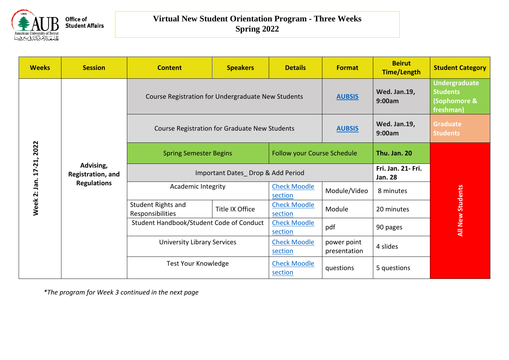

| <b>Weeks</b>                   | <b>Session</b>                 | <b>Content</b>                                            | <b>Speakers</b>                   | <b>Details</b>                     | <b>Format</b>               | <b>Beirut</b><br><b>Time/Length</b>  | <b>Student Category</b>                                              |  |
|--------------------------------|--------------------------------|-----------------------------------------------------------|-----------------------------------|------------------------------------|-----------------------------|--------------------------------------|----------------------------------------------------------------------|--|
|                                |                                | Course Registration for Undergraduate New Students        |                                   |                                    | <b>AUBSIS</b>               | Wed. Jan.19,<br>9:00am               | <b>Undergraduate</b><br><b>Students</b><br>(Sophomore &<br>freshman) |  |
|                                |                                | Course Registration for Graduate New Students             |                                   |                                    | <b>AUBSIS</b>               | <b>Wed. Jan.19,</b><br>9:00am        | <b>Graduate</b><br><b>Students</b>                                   |  |
| 2022<br>17-21,<br>Week 2: Jan. |                                | <b>Spring Semester Begins</b>                             |                                   | <b>Follow your Course Schedule</b> |                             | Thu. Jan. 20                         |                                                                      |  |
|                                | Advising,<br>Registration, and |                                                           | Important Dates_Drop & Add Period |                                    |                             | Fri. Jan. 21- Fri.<br><b>Jan. 28</b> |                                                                      |  |
|                                | <b>Regulations</b>             | <b>Academic Integrity</b>                                 |                                   | <b>Check Moodle</b><br>section     | Module/Video                | 8 minutes                            | <b>All New Students</b>                                              |  |
|                                |                                | Student Rights and<br>Responsibilities                    | Title IX Office                   | <b>Check Moodle</b><br>section     | Module                      | 20 minutes                           |                                                                      |  |
|                                |                                | Student Handbook/Student Code of Conduct                  |                                   | <b>Check Moodle</b><br>section     | pdf                         | 90 pages                             |                                                                      |  |
|                                |                                | <b>University Library Services</b><br>Test Your Knowledge |                                   | <b>Check Moodle</b><br>section     | power point<br>presentation | 4 slides                             |                                                                      |  |
|                                |                                |                                                           |                                   | <b>Check Moodle</b><br>section     | questions                   | 5 questions                          |                                                                      |  |

*\*The program for Week 3 continued in the next page*